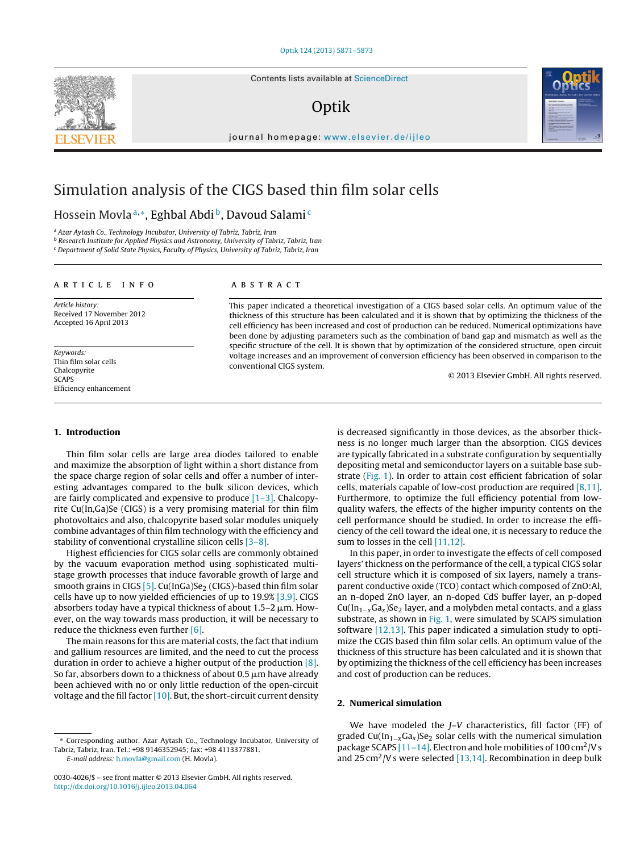Contents lists available at [ScienceDirect](http://www.sciencedirect.com/science/journal/00304026)

## Optik



## Simulation analysis of the CIGS based thin film solar cells

### Hossein Movla<sup>a,</sup>\*, Eghbal Abdi<sup>b</sup>, Davoud Salami<sup>c</sup>

<sup>a</sup> Azar Aytash Co., Technology Incubator, University of Tabriz, Tabriz, Iran

**b Research Institute for Applied Physics and Astronomy, University of Tabriz, Tabriz, Iran** <sup>c</sup> Department of Solid State Physics, Faculty of Physics, University of Tabriz, Tabriz, Iran

ARTICLE INFO

Article history: Received 17 November 2012 Accepted 16 April 2013

Keywords: Thin film solar cells Chalcopyrite **SCAPS** Efficiency enhancement

#### a b s t r a c t

This paper indicated a theoretical investigation of a CIGS based solar cells. An optimum value of the thickness of this structure has been calculated and it is shown that by optimizing the thickness of the cell efficiency has been increased and cost of production can be reduced. Numerical optimizations have been done by adjusting parameters such as the combination of band gap and mismatch as well as the specific structure of the cell. It is shown that by optimization of the considered structure, open circuit voltage increases and an improvement of conversion efficiency has been observed in comparison to the conventional CIGS system.

© 2013 Elsevier GmbH. All rights reserved.

#### **1. Introduction**

Thin film solar cells are large area diodes tailored to enable and maximize the absorption of light within a short distance from the space charge region of solar cells and offer a number of interesting advantages compared to the bulk silicon devices, which are fairly complicated and expensive to produce [\[1–3\].](#page--1-0) Chalcopyrite Cu(In,Ga)Se (CIGS) is a very promising material for thin film photovoltaics and also, chalcopyrite based solar modules uniquely combine advantages ofthin film technology with the efficiency and stability of conventional crystalline silicon cells [\[3–8\].](#page--1-0)

Highest efficiencies for CIGS solar cells are commonly obtained by the vacuum evaporation method using sophisticated multistage growth processes that induce favorable growth of large and smooth grains in CIGS  $[5]$ . Cu(InGa)Se<sub>2</sub> (CIGS)-based thin film solar cells have up to now yielded efficiencies of up to 19.9% [\[3,9\].](#page--1-0) CIGS absorbers today have a typical thickness of about 1.5–2  $\mu$ m. However, on the way towards mass production, it will be necessary to reduce the thickness even further [\[6\].](#page--1-0)

The main reasons for this are material costs, the fact that indium and gallium resources are limited, and the need to cut the process duration in order to achieve a higher output of the production [\[8\].](#page--1-0) So far, absorbers down to a thickness of about 0.5  $\mu$ m have already been achieved with no or only little reduction of the open-circuit voltage and the fill factor  $[10]$ . But, the short-circuit current density

E-mail address: [h.movla@gmail.com](mailto:h.movla@gmail.com) (H. Movla).

is decreased significantly in those devices, as the absorber thickness is no longer much larger than the absorption. CIGS devices are typically fabricated in a substrate configuration by sequentially depositing metal and semiconductor layers on a suitable base substrate [\(Fig.](#page-1-0) 1). In order to attain cost efficient fabrication of solar cells, materials capable of low-cost production are required [\[8,11\].](#page--1-0) Furthermore, to optimize the full efficiency potential from lowquality wafers, the effects of the higher impurity contents on the cell performance should be studied. In order to increase the efficiency of the cell toward the ideal one, it is necessary to reduce the sum to losses in the cell [\[11,12\].](#page--1-0)

In this paper, in order to investigate the effects of cell composed layers' thickness on the performance of the cell, a typical CIGS solar cell structure which it is composed of six layers, namely a transparent conductive oxide (TCO) contact which composed of ZnO:Al, an n-doped ZnO layer, an n-doped CdS buffer layer, an p-doped  $Cu(In_{1-x}Ga_x)Se_2$  layer, and a molybden metal contacts, and a glass substrate, as shown in [Fig.](#page-1-0) 1, were simulated by SCAPS simulation software [\[12,13\].](#page--1-0) This paper indicated a simulation study to optimize the CGIS based thin film solar cells. An optimum value of the thickness of this structure has been calculated and it is shown that by optimizing the thickness of the cell efficiency has been increases and cost of production can be reduces.

#### **2. Numerical simulation**

We have modeled the J-V characteristics, fill factor (FF) of graded Cu(In<sub>1−x</sub>Ga<sub>x</sub>)Se<sub>2</sub> solar cells with the numerical simulation package SCAPS [\[11–14\].](#page--1-0) Electron and hole mobilities of  $100 \text{ cm}^2$ /V s and 25 cm<sup>2</sup>/V s were selected [\[13,14\].](#page--1-0) Recombination in deep bulk



<sup>∗</sup> Corresponding author. Azar Aytash Co., Technology Incubator, University of Tabriz, Tabriz, Iran. Tel.: +98 9146352945; fax: +98 4113377881.

<sup>0030-4026/\$</sup> – see front matter © 2013 Elsevier GmbH. All rights reserved. [http://dx.doi.org/10.1016/j.ijleo.2013.04.064](dx.doi.org/10.1016/j.ijleo.2013.04.064)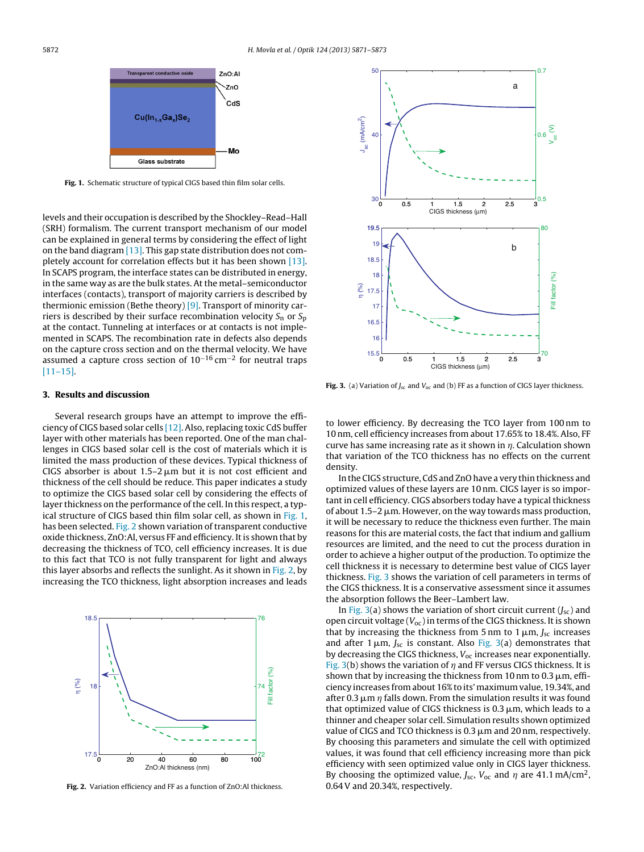<span id="page-1-0"></span>

**Fig. 1.** Schematic structure of typical CIGS based thin film solar cells.

levels and their occupation is described by the Shockley–Read–Hall (SRH) formalism. The current transport mechanism of our model can be explained in general terms by considering the effect of light on the band diagram [\[13\].](#page--1-0) This gap state distribution does not completely account for correlation effects but it has been shown [\[13\].](#page--1-0) In SCAPS program, the interface states can be distributed in energy, in the same way as are the bulk states. At the metal–semiconductor interfaces (contacts), transport of majority carriers is described by thermionic emission (Bethe theory) [\[9\].](#page--1-0) Transport of minority carriers is described by their surface recombination velocity  $S_n$  or  $S_p$ at the contact. Tunneling at interfaces or at contacts is not implemented in SCAPS. The recombination rate in defects also depends on the capture cross section and on the thermal velocity. We have assumed a capture cross section of  $10^{-16}$  cm<sup>-2</sup> for neutral traps [\[11–15\].](#page--1-0)

#### **3. Results and discussion**

Several research groups have an attempt to improve the efficiency of CIGS based solar cells [\[12\].](#page--1-0) Also, replacing toxic CdS buffer layer with other materials has been reported. One of the man challenges in CIGS based solar cell is the cost of materials which it is limited the mass production of these devices. Typical thickness of CIGS absorber is about 1.5–2  $\upmu$ m but it is not cost efficient and thickness of the cell should be reduce. This paper indicates a study to optimize the CIGS based solar cell by considering the effects of layer thickness on the performance of the cell. In this respect, a typical structure of CIGS based thin film solar cell, as shown in Fig. 1, has been selected. Fig. 2 shown variation of transparent conductive oxide thickness, ZnO:Al, versus FF and efficiency. It is shown that by decreasing the thickness of TCO, cell efficiency increases. It is due to this fact that TCO is not fully transparent for light and always this layer absorbs and reflects the sunlight. As it shown in Fig. 2, by increasing the TCO thickness, light absorption increases and leads



**Fig. 2.** Variation efficiency and FF as a function of ZnO:Al thickness.



**Fig. 3.** (a) Variation of  $J_{\text{sc}}$  and  $V_{\text{oc}}$  and (b) FF as a function of CIGS layer thickness.

to lower efficiency. By decreasing the TCO layer from 100 nm to 10 nm, cell efficiency increases from about 17.65% to 18.4%. Also, FF curve has same increasing rate as it shown in  $\eta$ . Calculation shown that variation of the TCO thickness has no effects on the current density.

In the CIGS structure, CdS and ZnO have a very thin thickness and optimized values of these layers are 10 nm. CIGS layer is so important in cell efficiency. CIGS absorbers today have a typical thickness of about 1.5–2  $\upmu$ m. However, on the way towards mass production, it will be necessary to reduce the thickness even further. The main reasons for this are material costs, the fact that indium and gallium resources are limited, and the need to cut the process duration in order to achieve a higher output of the production. To optimize the cell thickness it is necessary to determine best value of CIGS layer thickness. Fig. 3 shows the variation of cell parameters in terms of the CIGS thickness. It is a conservative assessment since it assumes the absorption follows the Beer–Lambert law.

In Fig. 3(a) shows the variation of short circuit current  $(J_{\rm sc})$  and open circuit voltage ( $V_{\text{oc}}$ ) in terms of the CIGS thickness. It is shown that by increasing the thickness from 5 nm to 1  $\mu$ m,  $J_\mathrm{sc}$  increases and after 1  $\mu$ m,  $J_{\rm sc}$  is constant. Also Fig. 3(a) demonstrates that by decreasing the CIGS thickness,  $V_{oc}$  increases near exponentially. Fig. 3(b) shows the variation of  $\eta$  and FF versus CIGS thickness. It is shown that by increasing the thickness from 10 nm to 0.3  $\mu$ m, efficiency increases from about 16% to its' maximum value, 19.34%, and after 0.3  $\mu$ m  $\eta$  falls down. From the simulation results it was found that optimized value of CIGS thickness is 0.3  $\mu$ m, which leads to a thinner and cheaper solar cell. Simulation results shown optimized value of CIGS and TCO thickness is  $0.3 \mu$ m and  $20 \text{ nm}$ , respectively. By choosing this parameters and simulate the cell with optimized values, it was found that cell efficiency increasing more than pick efficiency with seen optimized value only in CIGS layer thickness. By choosing the optimized value,  $J_{\rm sc}$ ,  $V_{\rm oc}$  and  $\eta$  are 41.1 mA/cm<sup>2</sup>, 0.64V and 20.34%, respectively.